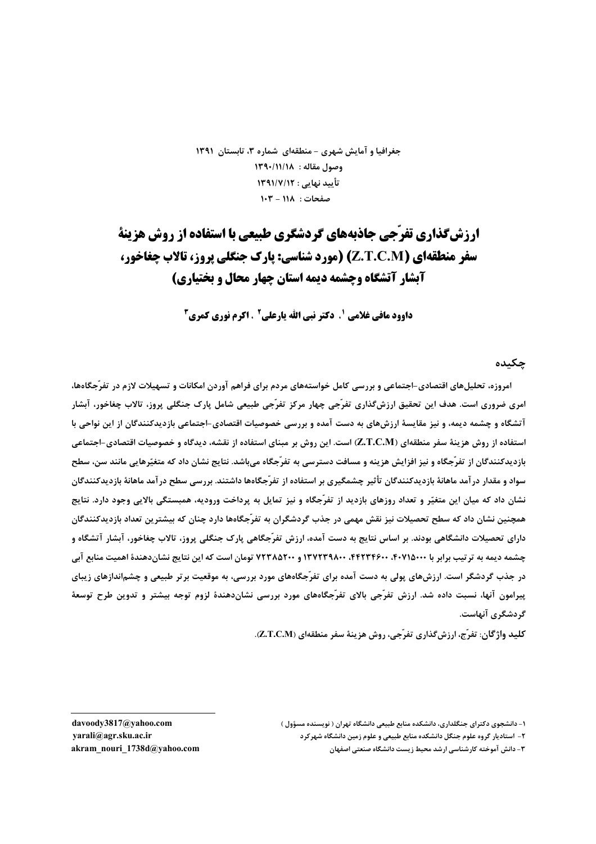جغرافیا و آمایش شهری - منطقهای شماره ۳، تابستان ۱۳۹۱ وصول مقاله: ١٣٩٠/١١/١٨ تأييد نهايي : ١٣٩١/٧/١٢ صفحات: ١١٨ - ١٠٣

# **ارزشگذاری تفرّحی جاذبههای گردشگری طبیعی با استفاده از روش هزینهٔ** سفر منطقهای (Z.T.C.M) (مورد شناسی: یارک جنگلی پروز، تالاب چغاخور، آبشار آتشگاه وچشمه دیمه استان چهار محال و بختیاری)

داوود مافي غلامي '. دكتر نبي الله يارعلي<sup>2</sup> . اكرم نوري كمري<sup>3</sup>

#### چکیده

امروزه، تحلیلهای اقتصادی-اجتماعی و بررسی کامل خواستههای مردم برای فراهم آوردن امکانات و تسهیلات لازم در تفرّجگاهها، امری ضروری است. هدف این تحقیق ارزشگذاری تفرّجی چهار مرکز تفرّجی طبیعی شامل پارک جنگلی پروز، تالاب چغاخور، آبشار آتشگاه و چشمه دیمه، و نیز مقایسهٔ ارزشهای به دست آمده و بررسی خصوصیات اقتصادی-اجتماعی بازدیدکنندگان از این نواحی با استفاده از روش هزینهٔ سفر منطقهای (Z.T.C.M) است. این روش بر مبنای استفاده از نقشه، دیدگاه و خصوصیات اقتصادی–اجتماعی بازديدكنندگان از تفرّجگاه و نيز افزايش هزينه و مسافت دسترسي به تفرّجگاه ميباشد. نتايج نشان داد كه متغيّرهايي مانند سن، سطح سواد و مقدار در آمد ماهانهٔ بازدیدکنندگان تأثیر چشمگیری بر استفاده از تفرّجگاهها داشتند. بررسی سطح در آمد ماهانهٔ بازدیدکنندگان نشان داد که میان این متغیّر و تعداد روزهای بازدید از تفرّجگاه و نیز تمایل به پرداخت ورودیه، همبستگی بالایی وجود دارد. نتایج همچنین نشان داد که سطح تحصیلات نیز نقش مهمی در جذب گردشگران به تفرّجگاهها دارد چنان که بیشترین تعداد بازدیدکنندگان دارای تحصیلات دانشگاهی بودند. بر اساس نتایج به دست آمده، ارزش تفرّجگاهی پارک جنگلی پروز، تالاب چغاخور، آبشار آتشگاه و چشمه دیمه به تر تیب برابر با ۴۰۷۱۵۰۰۰، ۴۴۲۳۴۶۰۰، ۱۳۷۲۳۹۸۰۰ ( ۷۲۳۸۵۲۰۰ تومان است که این نتایج نشاندهندهٔ اهمیت منابع آبی در جذب گردشگر است. ارزشهای پولی به دست آمده برای تفرّجگاههای مورد بررسی، به موقعیت برتر طبیعی و چشماندازهای زیبای پیرامون آنها، نسبت داده شد. ارزش تفرّجی بالای تفرّجگاههای مورد بررسی نشاندهندهٔ لزوم توجه بیشتر و تدوین طرح توسعهٔ گردشگری آنهاست.

كليد واژگان: تفرّج، ارزشگذاري تفرّجي، روش هزينهٔ سفر منطقهاي (Z.T.C.M).

- ۱- دانشجوی دکترای جنگلداری، دانشکده منابع طبیعی دانشگاه تهران ( نویسنده مسؤول )
	- ۲- استادیار گروه علوم جنگل دانشکده منابع طبیعی و علوم زمین دانشگاه شهرکرد
		- ۳- دانش آموخته کارشناسی ارشد محیط زیست دانشگاه صنعتی اصفهان

davoodv3817@vahoo.com yarali@agr.sku.ac.ir akram nouri 1738d@yahoo.com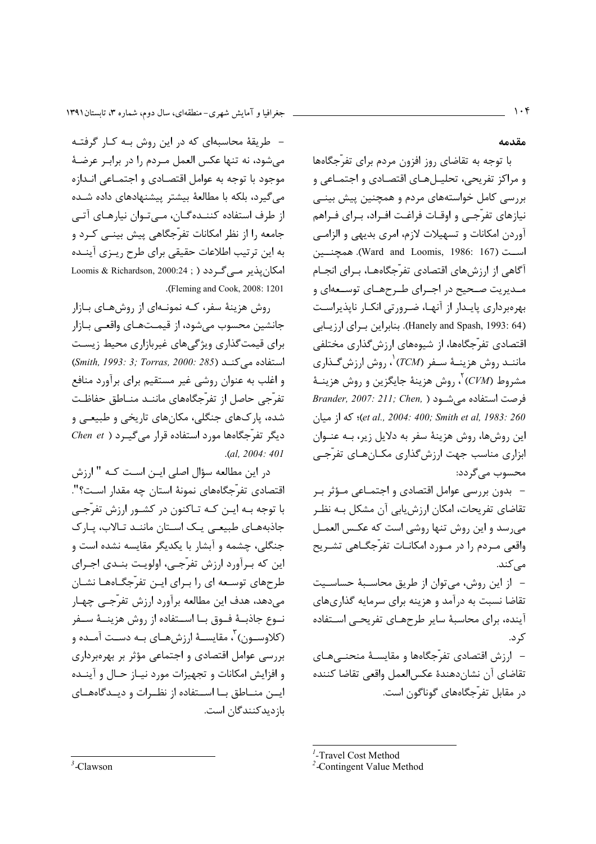و آمایش شهری–منطقهای، سال دوم، شماره ۳، تابستان۱۳۹۱ 104

مقدمه

با توجه به تقاضاى روز افزون مردم براى تفرّجگاهها و مراكز تفريحي، تحليــلهــاى اقتصــادى و اجتمــاعى و ررسی کامل خواستههای مردم و همچنین پیش بینی į نیازهای تفرجـی و اوقــات فراغـت افــراد، بــرای فــراهم آوردن امکانات و تسهیلات لازم، امری بدیهی و الزامــی  $;$ - 486: 167). همچنسین (Ward and Loomis, 1986: 167) آگاهی از ارزشهای اقتصادی تفرجگاههـا، بــرای انجــام مـديريت صـحيح در اجــراى طــرحهــاى توســعهاى و بهرهبرداری پایــدار از آنهــا، ضــرورتی انکــار ناپذیراســت (Hanely and Spash, 1993: 64). بنابراین بـرای ارزیــابی اقتصادی تفرّجگاهها، از شیوههای ارزشگذاری مختلفی ماننــد روش هزينــهٔ ســفر (TCM)<sup>'</sup>، روش ارزشگــذاري مشروط (*CVM)* ، روش هزينهٔ جايگزين و روش هزينــهٔ *Brander, 2007: 211; Chen, ) فر*صت استفاده میشــود )( 2 U(*et al., 2004: 400; Smith et al, 1983: 260* این روشها، روش هزینهٔ سفر به دلایل زیر، بـه عنــوان ابزاری مناسب جهت ارزشگذاری مکــانهــای تفرجــی محسوب میگردد:

– بدون بررسی عوامل اقتصادی و اجتمـاعی مـؤثر بـر تقاضای تفریحات، امکان ارزشیابی آن مشکل بــه نظــر می رسد و این روش تنها روشی است که عکـس العمـل واقعی مـردم را در مـورد امکانــات تفرّجگــاهی تشــريح مے کند.

– از این روش، میتوان از طریق محاسـبهٔ حساسـیت تقاضا نسبت به درآمد و هزینه برای سرمایه گذاریهای أينده، براي محاسبهٔ ساير طرحهـاي تفريحـي اســتفاده كرد.

– ارزش اقتصادى تفرجگاهها و مقايســهٔ منحنــىهــاى تقاضاي آن نشان دهندهٔ عکس|لعمل واقعی تقاضا کننده در مقابل تفرّجگاههای گوناگون است.

– طریقهٔ محاسبهای که در این روش بـه کـار گرفتـه میشود، نه تنها عکس العمل مـردم را در برابـر عرضـهٔ موجود با توجه به عوامل اقتصـادي و اجتمـاعي انـدازه میگیرد، بلکه با مطالعهٔ بیشتر پیشنهادهای داده شـده از طرف استفاده کننـدهگــان، مــىتــوان نيارهــاى آتــى جامعه را از نظر امکانات تفرجگاهی پیش بینـی کــرد و به این ترتیب اطلاعات حقیقی برای طرح ریـزی آینـده امکان پذیر مــیگــردد ( ; Loomis & Richardson, 2000:24 .(Fleming and Cook, 2008: 1201

روش هزینهٔ سفر، کـه نمونـهای از روشهـای بـازار جانشین محسوب می شود، از قیمـتهـای واقعـی بـازار رای قیمت گذاری ویژگیهای غیربازاری محیط زیست ڊ  $(Smith, 1993: 3; Torras, 2000: 285)$  استفاده می و اغلب به عنوان روشي غير مستقيم براي برآورد منافع تفرّجي حاصل از تفرّجگاههاي ماننــد منــاطق حفاظــت شده، پارکهای جنگلی، مکانهای تاریخی و طبیعـی و دیگر تفرجگاهها مورد استفاده قرار میگیــرد ( Chen et .(*al, 2004: 401*

در این مطالعه سؤال اصلی ایـن اسـت کـه " ارزش اقتصادی تفرّجگاههای نمونهٔ استان چه مقدار اسـت؟". با توجه بــه ايــن كــه تــاكنون در كشــور ارزش تفرجــي جاذبههـاي طبيعـي يـك اسـتان ماننـد تـالاب، پـارک جنگلی، چشمه و آبشار با یکدیگر مقایسه نشده است و این که بـرآورد ارزش تفرجـی، اولویـت بنــدی اجــرای طرحهای توسـعه ای را بـرای ایـن تفرّجگـاههـا نشـان میدهد، هدف این مطالعه برآورد ارزش تفرجــی چهــار نــوع جاذبــهٔ فــوق بــا اســتفاده از روش هزينــهٔ ســفر (کلاوســون) ّ، مقايســهٔ ارزشهــاي بــه دســت آمــده و ررسی عوامل اقتصادی و اجتماعی مؤثر بر بهرهبرداری ڊ و افزايش امكانات و تجهيزات مورد نيــاز حــال و آينــده ایــن منــاطق بــا اســتفاده از نظــرات و دیــدگاههــای بازديدكنندگان است.

*<sup>1</sup> -*Travel Cost Method

*<sup>2</sup>* -Contingent Value Method

*<sup>3</sup>* -Clawson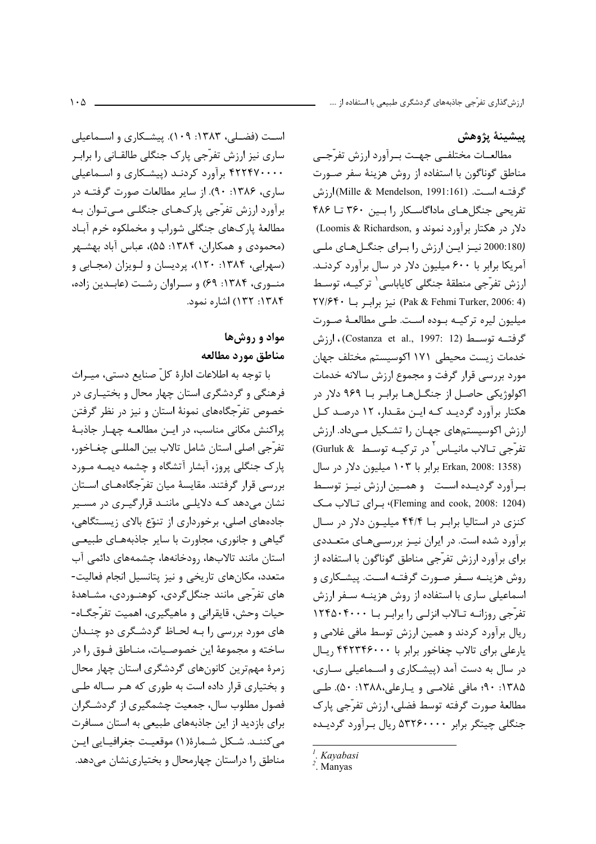ارزش گذاری تفرّجی جاذبههای گردشگری طبیعی با استفاده از ....

ييشينهٔ يژوهش

مطالعــات مختلفــي جهــت بــرآورد ارزش تفرّجــي مناطق گوناگون با استفاده از روش هزینهٔ سفر صورت گرفتـه اسـت. (Mille & Mendelson, 1991:161)ارزش تفریحی جنگلهای ماداگاسکار را بین ٣۶٠ تا ۴۸۶ دلار در هکتار برآورد نموند و Loomis & Richardson, (180:180 نیز این ارزش را برای جنگلهای ملی آمریکا برابر با ۶۰۰ میلیون دلار در سال برآورد کردنـد. ارزش تفرّجي منطقهٔ جنگلي كاياباسي` تركيــه، توسـط (Pak & Fehmi Turker, 2006: 4) نیز برابر با ۲۷/۶۴۰ میلیون لیره ترکیـه بـوده اسـت. طـی مطالعـهٔ صـورت گرفتــه توســط (Costanza et al., 1997: 12)، ارزش خدمات زيست محيطى ١٧١ اكوسيستم مختلف جهان مورد بررسی قرار گرفت و مجموع ارزش سالانه خدمات اکولوژیکی حاصل از جنگـلهـا برابـر بـا ۹۶۹ دلار در هکتار برآورد گردیـد کـه ایـن مقـدار، ۱۲ درصـد کـل ارزش اکوسیستمهای جهـان را تشـكیل مـی۱داد. ارزش تفرّجي تالاب مانياس<sup>٢</sup> در تركيـه توسـط & Gurluk) (Erkan, 2008: 1358 برابر با ۱۰۳ میلیون دلار در سال برآورد گردیـده اسـت و همـین ارزش نیـز توسـط (Fleming and cook, 2008: 1204)؛ براي تـالاب مـك کنزی در استالیا برابر با ۴۴/۴ میلیون دلار در سال برآورد شده است. در ایران نیـز بررسـهای متعـددی براي برآورد ارزش تفرّجي مناطق گوناگون با استفاده از روش هزینــه ســفر صــورت گرفتــه اســت. پیشــکاری و اسماعیلی ساری با استفاده از روش هزینـه سـفر ارزش تفرَّجي روزانــه تــالاب انزلــي را برابـر بــا ١٢۴۵٠۴٠٠ ریال برآورد کردند و همین ارزش توسط مافی غلامی و یارعلی برای تالاب چغاخور برابر با ۴۴۲۳۴۶۰۰۰ ریال در سال به دست آمد (پیشکاری و اسـماعیلی سـاری، ۰۱۳۸۵ ۰: ۹۰، مافی غلامبی و یارعلی،۱۳۸۸ ۰: ۵۰). طبی مطالعهٔ صورت گرفته توسط فضلی، ارزش تفرّجی پارک جنگلی چیتگر برابر ۵۳۲۶۰۰۰۰ ریال بـرآورد گردیـده

است (فضلی، ۱۳۸۳: ۱۰۹). پیشکاری و استماعیلی ساری نیز ارزش تفرّجی پارک جنگلی طالقـانی را برابـر ۴۲۲۴۷۰۰۰۰ برآورد کردنـد (پیشـکاری و اسـماعیلی ساری، ۱۳۸۶: ۹۰). از سایر مطالعات صورت گرفتـه در برآورد ارزش تفرّجي پارکهـاي جنگلـي مـيتـوان بـه مطالعهٔ پارکهای جنگلی شوراب و مخملکوه خرم آبـاد (محمودی و همکاران، ۱۳۸۴: ۵۵)، عباس آباد بهشـهر (سهرابی، ۱۳۸۴: ۱۲۰)، پردیسان و لـویزان (مجـابی و منوری، ۱۳۸۴: ۶۹) و سواوان رشت (عابلدین زاده، ۱۳۸۴: ۱۳۲) اشاره نمود.

## مواد و روش ها مناطق مورد مطالعه

با توجه به اطلاعات ادارهٔ کلّ صنایع دستی، میـراث فرهنگی و گردشگری استان چهار محال و بختیـاری در خصوص تفرّجگاههای نمونهٔ استان و نیز در نظر گرفتن پراکنش مکانی مناسب، در ایـن مطالعـه چهـار جاذبـهٔ تفرَّجي اصلي استان شامل تالاب بين المللـي چغــاخور، پارک جنگلی پروز، آبشار آتشگاه و چشمه دیمـه مـورد بررسی قرار گرفتند. مقایسهٔ میان تفرّجگاههـای اسـتان نشان میدهد کـه دلایلـی ماننـد قرارگیـری در مسـير جادههای اصلی، برخورداری از تنوّع بالای زیستگاهی، گیاهی و جانوری، مجاورت با سایر جاذبههـای طبیعـی استان مانند تالابها، رودخانهها، چشمههای دائمی آب متعدد، مکانهای تاریخی و نیز پتانسیل انجام فعالیت-های تفرّجی مانند جنگل5ردی، کوهنــوردی، مشــاهدهٔ حيات وحش، قايقراني و ماهيگيري، اهميت تفرّجگـاه-های مورد بررسی را بـه لحـاظ گردشـگری دو چنـدان ساخته و مجموعهٔ این خصوصـیات، منـاطق فـوق را در زمرهٔ مهمترین کانونهای گردشگری استان چهار محال و بختیاری قرار داده است به طوری که هـر سـاله طـی فصول مطلوب سال، جمعیت چشمگیری از گردشگران برای بازدید از این جاذبههای طبیعی به استان مسافرت می کننــد. شــکل شــمارهٔ(۱) موقعیـت جغرافیــایی ایــن مناطق را دراستان چهارمحال و بختیارینشان می دهد.

 $\mathcal{L} \cdot \Delta$ 

<sup>&</sup>lt;sup>1</sup>. Kayabasi

 $2.$  Manyas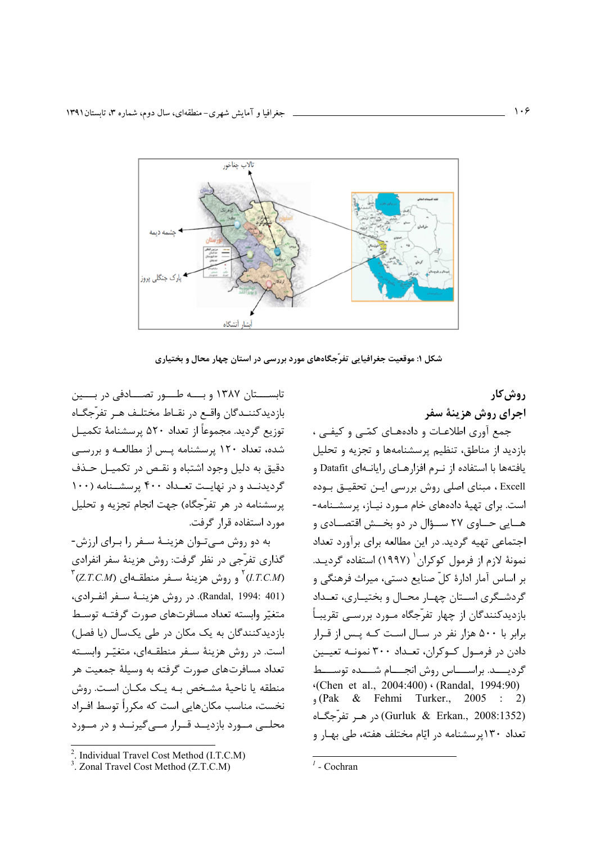

شکل ۱: موقعیت جغرافیایی تفرّجگاههای مورد بررسی در استان چهار محال و بختیاری

## روش کار اجراي روش هزينة سفر

جمع آوري اطلاعـات و دادههـاي كمّـي و كيفـي ، بازدید از مناطق، تنظیم پرسشنامهها و تجزیه و تحلیل یافتهها با استفاده از نیرم افزارهبای ,ایانیهای Datafit و Excell ، مبناي اصلي روش بررسي ايـن تحقيـق بـوده است. برای تهیهٔ دادههای خام مـورد نیـاز، پرسشـنامه-هــایی حــاوی ۲۷ ســؤال در دو بخــش اقتصــادی و اجتماعی تهیه گردید. در این مطالعه برای برآورد تعداد نمونهٔ لازم از فرمول کوکران <sup>(</sup> (۱۹۹۷) استفاده گردیـد. بر اساس آمار ادارهٔ کلّ صنایع دستی، میراث فرهنگی و گردشگری استان چهبار محبال و بختیباری، تعبداد بازدیدکنندگان از چهار تفرّجگاه مورد بررسـی تقریبـاً برابر با ۵۰۰ هزار نفر در سـال اسـت کـه پـس از قـرار دادن در فرمـول كــوكران، تعــداد ۳۰۰ نمونــه تعيــين گردیسد. براسساس روش انجسام شسده توسسط (Chen et al.,  $2004:400$ ) (Randal, 1994:90)  $\sqrt{Pak}$  & Fehmi Turker., 2005 : 2) (Gurluk & Erkan., 2008:1352) در هـر تفرّجگـاه تعداد ۱۳۰ پرسشنامه در ایّام مختلف هفته، طی بهـار و

تابســـتان ۱۳۸۷ و بـــه طـــور تصـــادفی در بـــین بازديدكننـدگان واقـع در نقـاط مختلـف هـر تفرّجگـاه توزيع گرديد. مجموعاً از تعداد ۵۲۰ پرسشنامهٔ تکميــل شده، تعداد ۱۲۰ پرسشنامه پس از مطالعـه و بررسـی دقيق به دليل وجود اشتباه و نقـص در تكميـل حـذف گردیدنـد و در نهایـت تعـداد ۴۰۰ پرسشـنامه (۱۰۰ پرسشنامه در هر تفرّجگاه) جهت انجام تجزیه و تحلیل مورد استفاده قرار گرفت.

به دو روش مے توان هزینـهٔ سـفر را بـرای ارزش-گذاری تفرّجي در نظر گرفت: روش هزينهٔ سفر انفرادي  $\int^{\pi} (Z.T.C.M)$ و روش هزینهٔ سـفر منطقـهای (Z.T.C.M) (Randal, 1994: 401). در روش هزينــهٔ ســفر انفــرادي، متغيّر وابسته تعداد مسافرتهاى صورت گرفتـه توسـط بازدیدکنندگان به یک مکان در طی یکسال (یا فصل) است. در روش هزینهٔ سـفر منطقـهای، متغیّـر وابسـته تعداد مسافرتهای صورت گرفته به وسیلهٔ جمعیت هر منطقه يا ناحيهٔ مشخص بـه يـک مکـان اسـت. روش نخست، مناسب مکانهایی است که مکرراً توسط افـراد محلــی مــورد بازدیــد قــرار مــی گیرنــد و در مــورد

<sup>&</sup>lt;sup>2</sup>. Individual Travel Cost Method (I.T.C.M)

<sup>&</sup>lt;sup>3</sup>. Zonal Travel Cost Method (Z.T.C.M)

 $\frac{1}{2}$  - Cochran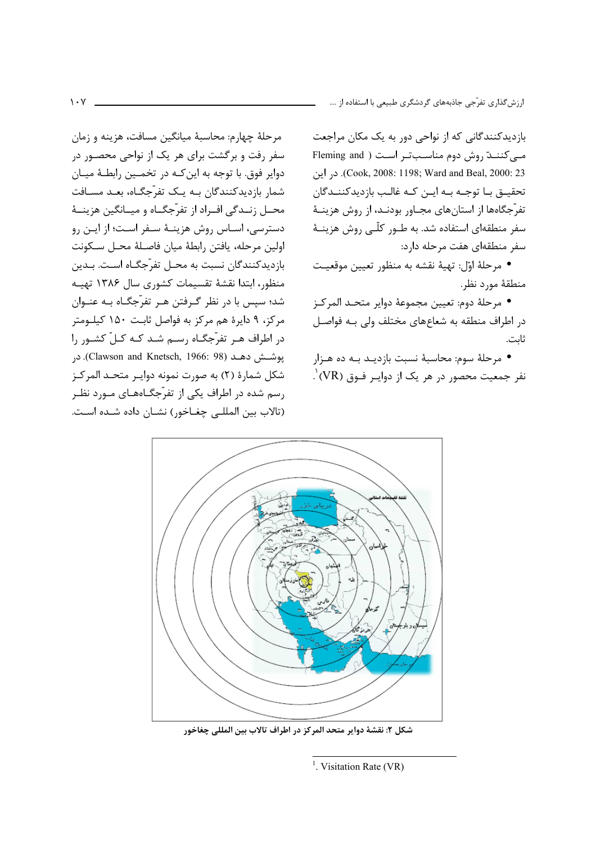107 .... 

بازدیدکنندگانی که از نواحی دور به یک مکان مراجعت مــیکننــدّ روش دوم مناســب-تـر اســت ( Fleming and ;1 .(Cook, 2008: 1198; Ward and Beal, 2000: 23 تحقيــق بـــا توجــه بــه ايــن كــه غالـب بازديدكننــدگان تفرّجگاهها از استانهای مجـاور بودنـد، از روش هزینــهٔ سفر منطقهای استفاده شد. به طــور کلّــی روش هزینــهٔ سفر منطقهای هفت مرحله دارد:

• مرحلهٔ اوّل: تهيهٔ نقشه به منظور تعيين موقعيت منطقهٔ مورد نظر.

• مرحلهٔ دوم: تعيين مجموعهٔ دواير متحـد المركـز در اطراف منطقه به شعاعهای مختلف ولی بـه فواصـل ثابت.

• مرحلهٔ سوم: محاسبهٔ نسبت بازدیـد بـه ده هـزار  $\dot{\phantom{a}}$ (VR) نفر جمعیت محصور در هر یک از دوایـر فـوق .

مرحلهٔ چهارم: محاسبهٔ میانگین مسافت، هزینه و زمان سفر رفت و برگشت برای هر یک از نواحی محصـور در دواير فوق. با توجه به اين *كــه* در تخمــين رابطــهٔ ميــان شمار بازدیدکنندگان بـه یـک تفرجگـاه، بعـد مسـافت محــل زنــدگي افــراد از تفرجگــاه و ميــانگين هزينــهٔ دسترسی، اسـاس روش هزینــهٔ ســفر اسـت؛ از ایــن رو اولين مرحله، يافتن رابطهٔ ميان فاصـلهٔ محـل سـكونت بازدیدکنندگان نسبت به محـل تفرجگـاه اسـت. بـدین منظور، ابتدا نقشهٔ تقسیمات کشوری سال ۱۳۸۶ تهیـه شد؛ سپس با در نظر گـرفتن هـر تفرجگـاه بــه عنــوان مرکز، ۹ دایرهٔ هم مرکز به فواصل ثابت ۱۵۰ کیلـومتر در اطراف هـر تفرّجگـاه رسـم شـد کـه کـلّ کشـور را يوشــش دهــد (Clawson and Knetsch, 1966: 98). در شکل شمارهٔ (۲) به صورت نمونه دوایـر متحـد المرکـز رسم شده در اطراف یکی از تفرّجگــاههــای مــورد نظــر (تالاب بين المللبي چغــاخور) نشــان داده شــده اســت.



**#=4 \*66% K NC LS 9 T>% ,1 -9 WM+ :2 53**

<sup>1</sup>. Visitation Rate (VR)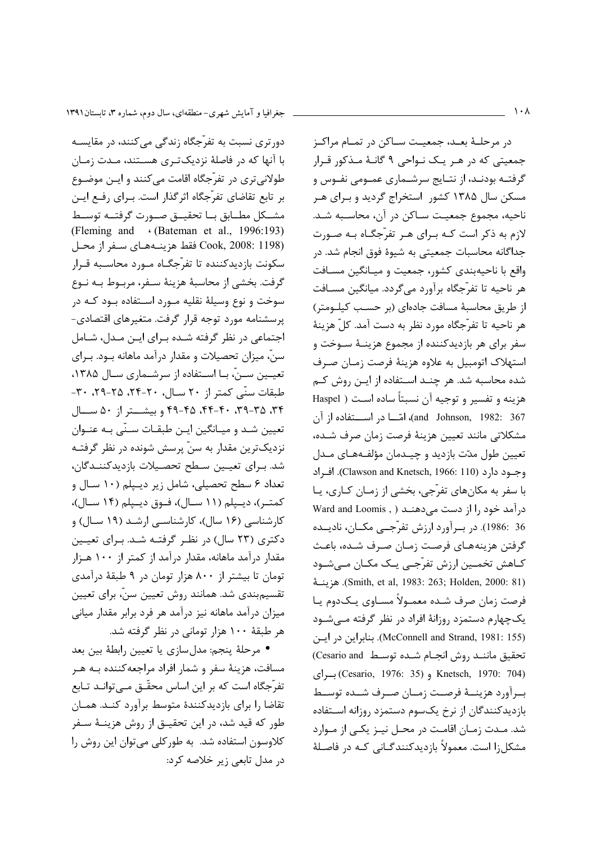جغرافیا و آمایش شهری-منطقهای، سال دوم، شماره ۳، تابستان۱۳۹۱

دورتری نسبت به تفرّجگاه زندگی میکنند، در مقایسـه با آنها که در فاصلهٔ نزدیکتری هستند، مـدت زمـان طولاني تري در تفرّجگاه اقامت مي كنند و ايــن موضــوع بر تابع تقاضای تفرّجگاه اثرگذار است. بـرای رفـع ایـن مشــكل مطــابق بــا تحقيــق صــورت گرفتــه توســط (Fleming and (Bateman et al., 1996:193) Cook, 2008: 1198) فقط هزينــههـاي ســفر از محـل سکونت بازدیدکننده تا تفرّجگـاه مـورد محاسـبه قـرار گرفت. بخشی از محاسبهٔ هزینهٔ سـفر، مربـوط بـه نـوع سوخت و نوع وسیلهٔ نقلیه مـورد اسـتفاده بـود کـه در پرسشنامه مورد توجه قرار گرفت. متغیرهای اقتصادی-اجتماعی در نظر گرفته شده برای این مدل، شامل سنّ، میزان تحصیلات و مقدار درآمد ماهانه بـود. بـرای تعیـین سـنّ، بــا اسـتفاده از سرشــماری ســال ۱۳۸۵، طبقات سنّی کمتر از ۲۰ سـال، ۲۰-۲۴، ۲۵-۲۹، ۳۰-۳۴، ۳۵-۳۹، ۴۰-۴۴، ۴۵-۴۹ وبیشت از ۵۰ سال تعیین شـد و میـانگین ایـن طبقـات سـنّی بـه عنـوان نزدیک ترین مقدار به سنّ پرسش شونده در نظر گرفتـه شد. بـراي تعيـين سـطح تحصـيلات بازديدكننـدگان، تعداد ۶ سطح تحصیلی، شامل زیر دیـپلم (۱۰ سـال و كمتـر)، ديـبلم (١١ سـال)، فـوق ديـبلم (١۴ سـال)، کارشناسی (۱۶ سال)، کارشناسی ارشـد (۱۹ سـال) و دکتری (۲۳ سال) در نظر گرفته شد. برای تعیین مقدار درآمد ماهانه، مقدار درآمد از کمتر از ۱۰۰ هـزار تومان تا بیشتر از ۸۰۰ هزار تومان در ۹ طبقهٔ درآمدی تقسیمبندی شد. همانند روش تعیین سنّ، برای تعیین میزان درآمد ماهانه نیز درآمد هر فرد برابر مقدار میانی هر طبقهٔ ۱۰۰ هزار تومانی در نظر گرفته شد.

• مرحلهٔ پنجم: مدلسازي يا تعيين رابطهٔ بين بعد مسافت، هزینهٔ سفر و شمار افراد مراجعهکننده بـه هـر تفرَّجگاه است که بر این اساس محقّـق مـے توانـد تـابع تقاضا را برای بازدیدکنندهٔ متوسط برآورد کنـد. همـان طور که قید شد، در این تحقیـق از روش هزینــهٔ ســفر كلاوسون استفاده شد. به طوركلي مي توان اين روش را در مدل تابعي زير خلاصه كرد: در مرحلـهٔ بعـد، جمعیـت سـاکن در تمـام مراکـز جمعیتی که در هـر یـک نـواحی ۹ گانـهٔ مـذکور قـرار گرفتـه بودنـد، از نتـايج سرشـماري عمـومي نفـوس و مسکن سال ۱۳۸۵ کشور استخراج گردید و بـرای هـر ناحيه، مجموع جمعيت سـاكن در آن، محاسـبه شـد. لازم به ذکر است کـه بـرای هـر تفرّجگـاه بـه صـورت جداگانه محاسبات جمعیتی به شیوهٔ فوق انجام شد. در واقع با ناحیهبندی کشور، جمعیت و میـانگین مسـافت هر ناحيه تا تفرّجگاه برآورد مي گردد. ميانگين مسـافت از طريق محاسبة مسافت جادهاي (بر حسب كيلـومتر) هر ناحيه تا تفرّجگاه مورد نظر به دست آمد. كلّ هزينهٔ سفر برای هر بازدیدکننده از مجموع هزینـهٔ سـوخت و استهلاک اتومبیل به علاوه هزینهٔ فرصت زمـان صـرف شده محاسبه شد. هر چنـد اسـتفاده از ايـن روش كـم هزينه و تفسير و توجيه آن نسبتاً ساده اسـت ( Haspel and Johnson, 1982: 367)، امّــا در اســـتفاده از آن مشكلاتي مانند تعيين هزينة فرصت زمان صرف شـده، تعیین طول مدّت بازدید و چیـدمان مؤلفـههـای مـدل وجود دارد (Clawson and Knetsch, 1966: 110). افراد با سفر به مکانهای تفرّجی، بخشی از زمـان کـاری، پـا درآمد خود را از دست می دهنـد (, Ward and Loomis 36: 1986). در برآورد ارزش تفرّجے مكـان، ناديــده گرفتن هزينههـاي فرصـت زمـان صـرف شـده، باعـث کــاهش تخمــین ارزش تفرّجــی یــک مکــان مــیشــود (Smith, et al, 1983: 263; Holden, 2000: 81). هزينــة فرصت زمان صرف شـده معمـولاً مسـاوي يـكـدوم يـا یک چهارم دستمزد روزانهٔ افراد در نظر گرفته مے شـود (McConnell and Strand, 1981: 155). بنابراين در اين تحقيق ماننـد روش انجـام شـده توسـط Cesario and) (Cesario, 1976: 35) و (Cesario, 1976: 35) براي بـرأورد هزينـــهٔ فرصــت زمــان صــرف شــده توســط بازديدكنندگان از نرخ يكسوم دستمزد روزانه استفاده شد. مـدت زمـان اقامـت در محـل نيـز يكـي از مـوارد مشکلزا است. معمولاً بازدیدکنندگـانی کـه در فاصـلهٔ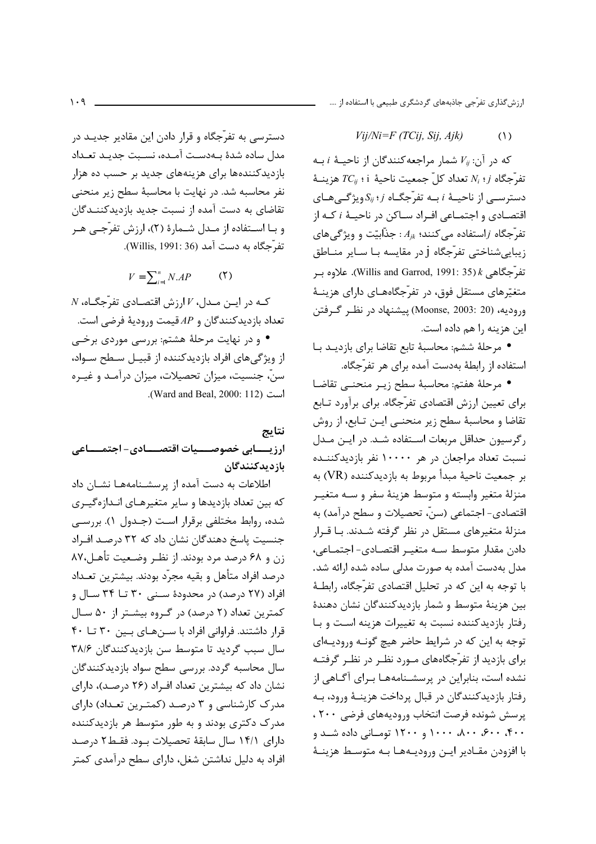ارزش گذاری تفرّجی جاذبههای گردشگری طبیعی با استفاده از ....

 $Vij/Ni = F(TCij, Sij, Ajk)$  $(1)$ 

که در آن:  $V_{ij}$  شمار مراجعه کنندگان از ناحیـهٔ  $i$  بـه تفرّجگاه  $N_i: j$  تعداد كلّ جمعيت ناحيهٔ  $TC_{ii}: T$  هزينــهٔ دسترسـی از ناحیـهٔ  $i$  بـه تفرّجگـاه  $S_{ij}$ ۰ ویژگـیهـای اقتصـادي و اجتمـاعي افـراد سـاكن در ناحيــهٔ i كـه از تفرّجگاه  $j$ استفاده می کنند؛  $A_{jk}$ : جذّابیّت و ویژگی های زيبايي شناختي تفرّجگاه j در مقايسه بـا سـاير منـاطق تفرّجگاهي Willis and Garrod, 1991: 35) k. علاوه بـر متغیّرهای مستقل فوق، در تفرّجگاههـای دارای هزینـهٔ وروديه، (20 :2003 .Moonse) پيشنهاد در نظـر گـرفتن این هزینه ,ا هم داده است.

• مرحلة ششم: محاسبة تابع تقاضا براي بازديـد بـا استفاده از رابطهٔ بهدست آمده برای هر تفرّجگاه.

• مرحلة هفتم: محاسبة سطح زيـر منحنـى تقاضـا برای تعیین ارزش اقتصادی تفرّجگاه. برای برآورد تـابع تقاضا و محاسبهٔ سطح زیر منحنـی ایـن تـابع، از روش رگرسیون حداقل مربعات استفاده شـد. در ایـن مـدل نسبت تعداد مراجعان در هر ۱۰۰۰۰ نفر بازدیدکننـده بر جمعیت ناحیهٔ مبدأ مربوط به بازدیدکننده (VR) به منزلهٔ متغیر وابسته و متوسط هزینهٔ سفر و سـه متغیـر اقتصادي- اجتماعي (سنّ، تحصيلات و سطح درآمد) به منزلهٔ متغیرهای مستقل در نظر گرفته شـدند. بـا قـرار دادن مقدار متوسط سـه متغيـر اقتصـادى- اجتمـاعى، مدل بهدست آمده به صورت مدلی ساده شده ارائه شد. با توجه به این که در تحلیل اقتصادی تفرّجگاه، رابطـهٔ بین هزینهٔ متوسط و شمار بازدیدکنندگان نشان دهندهٔ رفتار بازدیدکننده نسبت به تغییرات هزینه است و با توجه به این که در شرایط حاضر هیچ گونـه ورودیـهای برای بازدید از تفرّجگاههای مــورد نظــر در نظــر گرفتــه نشده است، بنابراین در پرسشـنامههـا بـرای آگـاهی از رفتار بازديدكنندگان در قبال پرداخت هزينـهٔ ورود، بـه پرسش شونده فرصت انتخاب وروديههاي فرضى ٢٠٠ ، ۴۰۰، ۶۰۰، ۸۰۰، ۱۰۰۰ و ۱۲۰۰ تومانی داده شد و با افزودن مقـادير ايـن وروديـههـا بـه متوسـط هزينـهٔ

دسترسي به تفرّجگاه و قرار دادن اين مقادير جديـد در مدل ساده شدهٔ بـهدسـت آمـده، نسـبت جدیـد تعـداد بازدیدکنندهها برای هزینههای جدید بر حسب ده هزار نفر محاسبه شد. در نهایت با محاسبهٔ سطح زیر منحنی تقاضای به دست آمده از نسبت جدید بازدیدکننـدگان و بــا اســتفاده از مــدل شــمارهٔ (۲)، ارزش تفرّجــى هــر تفرَّجگاه به دست آمد (Willis, 1991: 36).

> $V = \sum_{i=1}^{n} N \cdot AP$  $(5)$

 $N$ ، کـه در ايـن مـدل،  $V$ ارزش اقتصـادي تفرّجگـاه،  $N$ تعداد بازديدكنندگان و APقيمت وروديهٔ فرضي است. • و در نهایت مرحلهٔ هشتم: بررسی موردی برخـی از ویژگیهای افراد بازدیدکننده از قبیـل سـطح سـواد، سنّ، جنسیت، میزان تحصیلات، میزان درآمـد و غیـره .(Ward and Beal, 2000: 112)

### نتايج

## ارزيـــــابى خصوصـــــيات اقتصــــــادى- اجتمـــــاعى بازديدكنندگان

اطلاعات به دست آمده از پرسشـنامههـا نشـان داد که بین تعداد بازدیدها و سایر متغیرهـای انـدازهگیـری شده، روابط مختلفی برقرار است (جـدول ۱). بررسـی جنسیت پاسخ دهندگان نشان داد که ۳۲ درصـد افـراد زن و ۶۸ درصد مرد بودند. از نظر وضعیت تأهل،۸۷ درصد افراد متأهل و بقيه مجرّد بودند. بيشترين تعــداد افراد (۲۷ درصد) در محدودهٔ سنبی ۳۰ تا ۳۴ سال و کمترین تعداد (۲ درصد) در گروه بیشـتر از ۵۰ سـال قرار داشتند. فراوانی افراد با سـنهـای بـین ۳۰ تـا ۴۰ سال سبب گردید تا متوسط سن بازدیدکنندگان ۳۸/۶ سال محاسبه گردد. بررسی سطح سواد بازدیدکنندگان نشان داد که بیشترین تعداد افـراد (۲۶ درصـد)، دارای مدرک کارشناسی و ۳ درصد (کمترین تعداد) دارای مدرک دکتری بودند و به طور متوسط هر بازدیدکننده دارای ۱۴/۱ سال سابقهٔ تحصیلات بود. فقـط۲ درصـد افراد به دلیل نداشتن شغل، دارای سطح درآمدی کمتر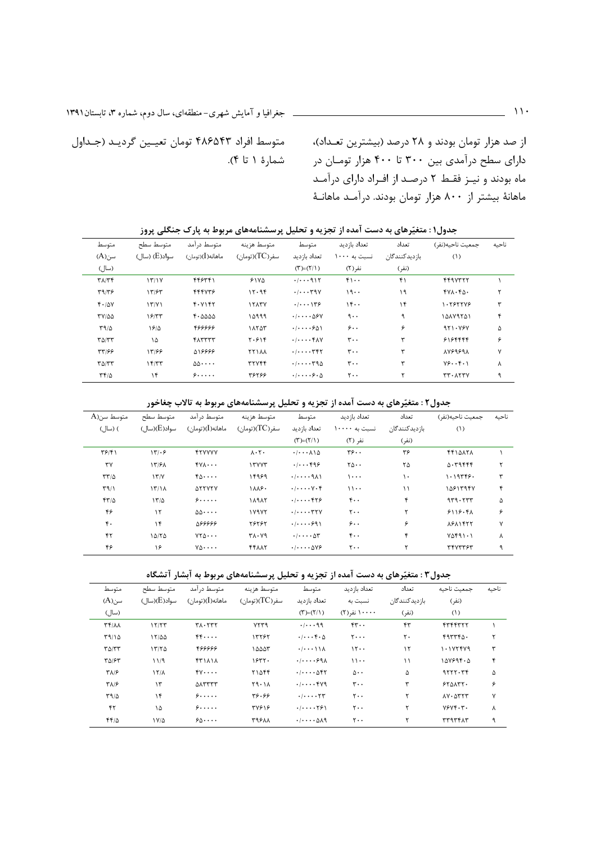از صد هزار تومان بودند و ۲۸ درصد (بیشترین تعـداد)، متوسط افراد ۴۸۶۵۴۳ تومان تعیـین گردیـد (جـداول دارای سطح درآمدی بین ۳۰۰ تا ۴۰۰ هزار تومـان در شمارهٔ ۱ تا ۴). ماه بودند و نیـز فقـط ۲ درصـد از افـراد دارای درآمـد ماهانهٔ بیشتر از ۸۰۰ هزار تومان بودند. درآمـد ماهانــهٔ

|--|

| متوسط           | متوسط سطح             | متوسط در آمد                            | متوسط هزينه    | متوسط                                                              | تعداد بازديد                    | تعداد          | جمعيت ناحيه(نفر)                    | ناحبه |
|-----------------|-----------------------|-----------------------------------------|----------------|--------------------------------------------------------------------|---------------------------------|----------------|-------------------------------------|-------|
| سن(A)           | $(L)$ سواد $(E)$ (سال | ماهانە(I)(تومان)                        | سفر(TC)(تومان) | تعداد بازديد                                                       | نسبت به ۱۰۰۰                    | باز دیدکنندگان | (1)                                 |       |
| (سال)           |                       |                                         |                | $(T)=(T/1)$                                                        | نفر (۲)                         | (نفر)          |                                     |       |
| $T\Lambda/Tf$   | 15/1Y                 | 448441                                  | $51Y_0$        | . / q                                                              | $f \cdot \cdot$                 | ۴۱             | FF9VTTT                             |       |
| T9/T9           | 17/97                 | 444445                                  | 15.98          | . /                                                                | 19                              | ۱۹             | fVA. fA.                            | ٢     |
| F.10Y           | 15/1                  | F. Y                                    | 17177          | . / 179                                                            | 15.4                            | ۱۴             | 1.787778                            | ٣     |
| <b>TY/00</b>    | 18/77                 | 1.0000                                  | ۱۵۹۹۹          | $\cdot$ / $\cdot \cdot \cdot \Delta$ ۶۷                            | $9 \cdot \cdot$                 | ٩              | 14179741                            | ۴     |
| $\Gamma$ 9/0    | 1810                  | 499999                                  | 1875           | . / 901                                                            | $\mathcal{L} \cdot \mathcal{L}$ | ۶              | 971.797                             | ۵     |
| $T\Delta/TT$    | ۱۵                    | <b>FATTTT</b>                           | Y.519          | $\cdot/\cdot\cdot\cdot$ $\uparrow$ $\wedge$ Y                      | $r \cdot$                       | ٣              | 8188888                             | ۶     |
| 55199           | 15/98                 | 43316                                   | <b>TTIAA</b>   | $\cdot/\cdot\cdot\cdot$ ۳۴۲                                        | $r \cdot$                       | ٣              | <b>AVS959A</b>                      | ٧     |
| $T\Delta/TT$    | 15/T                  | $\Delta \Delta \cdot \cdot \cdot \cdot$ | <b>TTYFF</b>   | . / 790                                                            | $r \cdot$                       | ٣              | $Y5 \cdot Y$                        | Υ     |
| $\tau f/\Delta$ | ۱۴                    | 9                                       | 38789          | $\cdot$ / $\cdot$ $\cdot$ $\cdot$ $\cdot$ $\circ$ $\cdot$ $\wedge$ | $\mathsf{r}\cdot\mathsf{r}$     | ۲              | $rr \cdot \lambda \tau \tau \gamma$ | ٩     |

#### جدول۲ : متغیّرهای به دست آمده از تجزیه و تحلیل پرسشنامههای مربوط به تالاب چغاخور

| متوسط سن(A        | متوسط سطح            | متوسط در آمد                            | متوسط هزينه             | متوسط                                                    | تعداد بازديد                             | تعداد         | جمعيت ناحيه(نفر)       | ناحىه |
|-------------------|----------------------|-----------------------------------------|-------------------------|----------------------------------------------------------|------------------------------------------|---------------|------------------------|-------|
| ) (سال)           | $(L)$ سواد $(E)$ سال | ماهانه(I)(تومان)                        | سفر(TC)(تومان)          | تعداد بازديد                                             | نسبت به ۱۰۰۰۰                            | بازديدكنندگان | (1)                    |       |
|                   |                      |                                         |                         | $(T)=(T/1)$                                              | نفر (۲)                                  | (نفر)         |                        |       |
| $\frac{8}{5}$     | 171.9                | <b>FTYVYY</b>                           | $\lambda \cdot 7 \cdot$ | $\cdot$ / $\cdot$ $\cdot$ $\wedge$ $\wedge$ $\wedge$     | $\mathbf{y} \mathbf{z} \cdot \mathbf{z}$ | ۳۶            | FFIQATA                |       |
| ٣٧                | 15/81                | $Y$ $\vee$ $\cdots$                     | 15YYT                   | .1.1.999                                                 | $\mathbf{Y}\mathbf{0}\cdot\mathbf{0}$    | ۲۵            | 0.79                   |       |
| $\tau\tau/\Delta$ | 17'                  | $f_0 \ldots$                            | 14989                   | . / q                                                    | ۱۰۰۰                                     | $\mathcal{L}$ | 1.19759.               | ٣     |
| $\Gamma$ 9/1      | 15/1A                | <b>ATTYTY</b>                           | 1888.                   | $\cdot$ / $\cdot$ $\cdot$ $\cdot$ $\vee$ $\cdot$ $\cdot$ | 11                                       | $\setminus$   | 15813944               | ۴     |
| 557/2             | 17/2                 | 9                                       | 18945                   | $. /$ ۴۲۶                                                | $F \cdot \cdot$                          | ۴             | 979.777                | ۵     |
| ۴۶                | $\gamma$             | $\Delta \Delta \cdot \cdot \cdot \cdot$ | 1Y9Y5                   | $. /$ TYV                                                | ٢٠٠                                      | ۲             | 5115.41                | ۶     |
| ۴٠                | ۱۴                   | 988888                                  | 78787                   | . / 99)                                                  | ۶۰۰                                      | ۶             | <b><i>ASAIFTT</i></b>  | v     |
| ۴٢                | 10/70                | $YY\Delta \cdot \cdot \cdot$            | ۳۸۰۷۹                   | $\cdot/\cdot\cdot\cdot\Delta r$                          | $\mathfrak{r}\cdot\mathfrak{r}$          | ۴             | $Y\Delta f 91 \cdot 1$ | λ     |
| ۴۶                | ۱۶                   | $Y_0 \cdots$                            | FFAAT                   | $\cdot$ / $\cdot \cdot \cdot \Delta V$ ۶                 | $\mathsf{y} \cdot \mathsf{y}$            | ۲             | <b>٣۴٧٣٣۶٣</b>         | ٩     |

#### جدول ۳ : متغیّرهای به دست آمده از تجزیه و تحلیل پرسشنامههای مربوط به آبشار آتشگاه

| متوسط                       | متوسط سطح         | متوسط در آمد     | متوسط هزينه           | متوسط                                            | تعداد بازديد                   | تعداد          | جمعيت ناحيه                    | ناحىه |
|-----------------------------|-------------------|------------------|-----------------------|--------------------------------------------------|--------------------------------|----------------|--------------------------------|-------|
| سن(A)                       | سواد(E)(سال)      | ماهانه(I)(تومان) | $(TC)$ سفر (TC)(تومان | تعداد بازديد                                     | نسبت به                        | يا; دېدکنندگان | (نفر)                          |       |
| (سال)                       |                   |                  |                       | $(T)=(T/1)$                                      | ۱۰۰۰۰ نفر (۲)                  | (نفر)          | (1)                            |       |
| $\Upsilon f/\Lambda\Lambda$ | 17/77             | <b>۳۸۰۲۳۲</b>    | YYY9                  | . / qq                                           | $rr \cdot$                     | ۴٣             | FTFFTTT                        |       |
| ۲۹/۱۵                       | $17/\Delta\Delta$ | FF               | 13787                 | $\cdot/\cdot\cdot\cdot$ ۴ $\cdot$ ۵              | $\mathbf{y} \cdot \cdot \cdot$ | ٢٠             | 597760.                        | ۲     |
| $T\Delta/TT$                | 1770              | 499999           | ۱۵۵۵۳                 | $\cdot/\cdot\cdot\cdot\setminus\setminus\Lambda$ | 15.                            | ١٢             | 1.1YYYY9                       | ٣     |
| <b>TAIST</b>                | 11/9              | <b>FTIAIA</b>    | 1557.                 | . / 99                                           | $\{\cdot\}$                    | ۱۱             | 147894.4                       | ۴     |
| $\Upsilon \Lambda / 9$      | 15/1              | $fV \cdots$      | <b>TIAFF</b>          | $. /$ $\Delta$ FT                                | $\Delta \cdot \cdot$           | ۵              | 9777.77                        | ۵     |
| $\Upsilon \Lambda / 9$      | $\mathcal{N}$     | <b>AATTTT</b>    | Y9.1A                 | . /                                              | $r \cdot$                      | ٣              | 550AT                          | ۶     |
| T9/2                        | ۱۴                | $9 \cdots$       | 39.99                 | . /                                              | $Y \cdot \cdot$                | ۲              | $\Lambda V \cdot \Delta V V V$ | ٧     |
| ۴٢                          | ۱۵                | $9 \cdots$       | <b>٣٧۶١۶</b>          | . / 791                                          | $\mathsf{Y} \cdot \cdot$       | ۲              | $Y$ ۶ $Y$ ۴.۳.                 | Λ     |
| $FF/\Delta$                 | $1Y/\Delta$       | $50 \cdots$      | <b>٣٩۶٨٨</b>          | $. /$ $\Delta$ 19                                | $Y \cdot \cdot$                |                | <b>TTITFAT</b>                 | ٩     |
|                             |                   |                  |                       |                                                  |                                |                |                                |       |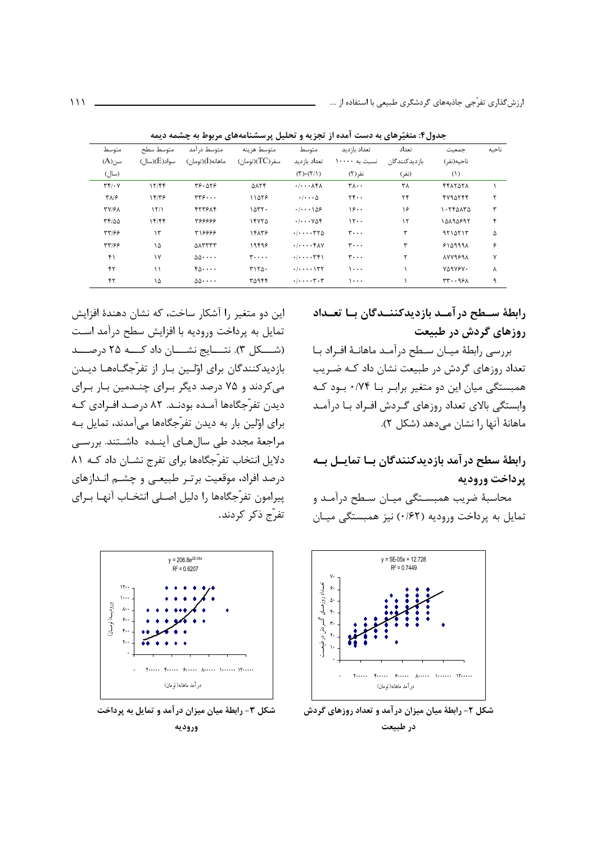| متوسط            | متوسط سطح            | متوسط در آمد                            | متوسط هزينه    | متوسط                                        | تعداد بازديد                   | تعداد         | جمعيت          | ناحيه |
|------------------|----------------------|-----------------------------------------|----------------|----------------------------------------------|--------------------------------|---------------|----------------|-------|
| سن(A)            | $(L)$ سواد $(E)$ سال | ماهانه(I)(تومان)                        | سفر(TC)(تومان) | تعداد بازديد                                 | نسبت به ۱۰۰۰۰                  | بازدېدکنندگان | ناحيە(نفر)     |       |
| (سال)            |                      |                                         |                | $(\Upsilon)=(\Upsilon/\Upsilon)$             | نفر (۲)                        | (نفر)         | (1)            |       |
| $\tau f/\cdot V$ | 15/99                | 88.088                                  | ۵۸۲۴           | $. / \wedge f \wedge$                        | $Y \wedge \cdot \cdot$         | ۳۸            | <b>FFATATA</b> |       |
| ۳۸/۶             | 1579                 | $rrr$                                   | 11458          | $\cdot$ / $\cdot$ $\cdot$ $\wedge$           | $YY \cdot \cdot$               | ٢۴            | 4794744        |       |
| <b>TV/۶۸</b>     | 15/1                 | <b>FTTSAF</b>                           | 1057.          | $. / \$                                      | 19.4                           | ۱۶            | 1.550170       | ٣     |
| 11/00            | 15/99                | 339997                                  | 14774          | $. / \vee \triangle f$                       | 15.                            | $\gamma$      | 10190897       | ۴     |
| 33177            | $\mathcal{L}$        | 33999                                   | 14178          | . / 770                                      | $\mathbf{r} \cdot \cdot \cdot$ | ٣             | 9714715        | ۵     |
| 57188            | ۱۵                   | <b>AATTTT</b>                           | ۱۹۴۹۶          | $. /$ $f \wedge V$                           | $\mathbf{r} \cdot \cdot \cdot$ | ٣             | 5109991        | ۶     |
| ۴۱               | ١٧                   | $\Delta \Delta \cdot \cdot \cdot \cdot$ | $r \cdots$     | . / 75                                       | $\mathbf{r} \cdot \cdot \cdot$ |               | <b>AYY989A</b> | ۷     |
| ۴٢               | ۱۱                   | ۴۵۰۰۰۰                                  | T150.          | $\cdot/\cdot\cdot\cdot\cdot$ \ $\mathsf{YY}$ | ۱۰۰۰                           |               | VARVEV.        | Λ     |
| ۴٢               | ۱۵                   | $\Delta \Delta \cdot \cdot \cdot \cdot$ | ۳۵۹۴۴          | $\cdot/\cdot\cdot\cdot\cdot$ ۳ $\cdot$ ۳     | ۱۰۰۰                           |               | $rr \cdot 951$ | ٩     |

جدول۴: متغیّرهای به دست آمده از تجزیه و تحلیل پرسشنامههای مربوط به چشمه دیمه

این دو متغیر را آشکار ساخت، که نشان دهندهٔ افزایش تمایل به پرداخت ورودیه با افزایش سطح درآمد است (شــــكل ٣). نتــــايج نشــــان داد كـــــه ٢۵ درصــــد بازديدكنندگان براي اوّلـين بـار از تفرّجگــاههــا ديــدن می کردند و ۷۵ درصد دیگر برای چنـدمین بـار بـرای ديدن تفرّجگاهها آمـده بودنـد. ۸۲ درصـد افـرادي كـه برای اوّلین بار به دیدن تفرّجگاهها میآمدند، تمایل بـه مراجعهٔ مجدد طی سالهای آینده داشتند. بررسی دلایل انتخاب تفرّجگاهها برای تفرج نشـان داد کــه ۸۱ درصد افراد، موقعیت برتـر طبیعـی و چشـم انـدازهای پیرامون تفرّجگاهها را دلیل اصلی انتخـاب آنهـا بـرای تفرّج ذکر کردند.



شکل ۳- رابطهٔ میان میزان در آمد و تمایل به پرداخت وروديه

رابطهٔ ســطح در آمــد بازدیدکننــدگان بــا تعــداد روزهای گردش در طبیعت

بررسی رابطهٔ میـان سـطح درآمـد ماهانـهٔ افـراد بـا تعداد روزهای گردش در طبیعت نشان داد کـه ضـریب همبستگی میان این دو متغیر برابـر بــا ۰/۷۴ بــود کــه وابستگی بالای تعداد روزهای گـردش افـراد بـا درآمـد ماهانهٔ آنها را نشان می دهد (شکل ۲).

## رابطهٔ سطح در آمد بازدیدکنندگان بــا تمایــل بــه يرداخت وروديه

محاسبهٔ ضریب همبستگی میـان سـطح درآمـد و تمایل به پرداخت ورودیه (۰/۶۲) نیز همبستگی میان



شکل ۲- رابطهٔ میان میزان در آمد و تعداد روزهای گردش در طبیعت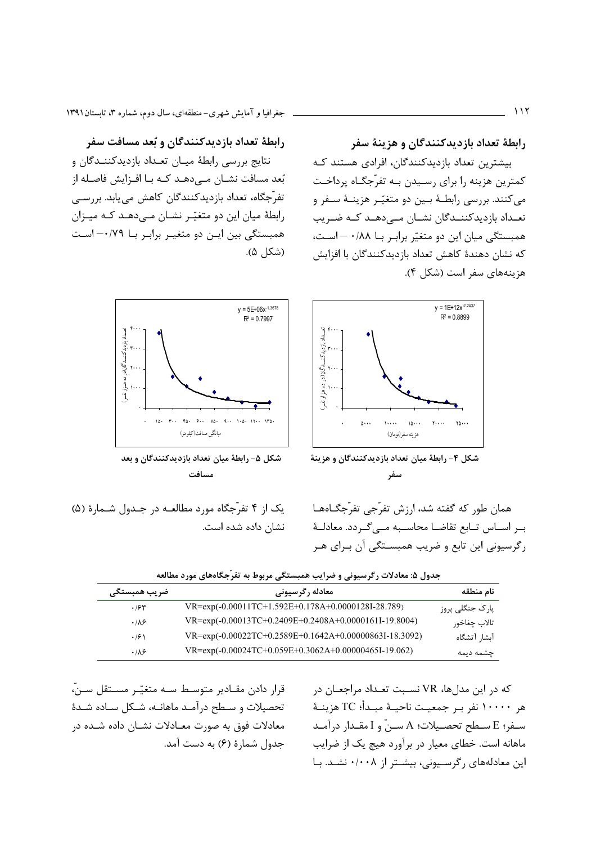جغرافیا و آمایش شهری-منطقهای، سال دوم، شماره ۳، تابستان۱۳۹۱

### رابطهٔ تعداد بازدیدکنندگان و هزینهٔ سفر

بیشترین تعداد بازدیدکنندگان، افرادی هستند که کمترین هزینه را برای رسـیدن بـه تفرّجگـاه پرداخـت مي كنند. بررسي رابطــهٔ بــين دو متغيّـر هزينــهٔ ســفر و تعـداد بازديدكننــدگان نشــان مــىدهــد كــه ضـريب همبستگی میان این دو متغیّر برابر با ۰/۸۸ – است، كه نشان دهندهٔ كاهش تعداد بازديدكنندگان با افزايش هزينههاي سفر است (شكل ۴).



شکل ۴- رابطهٔ میان تعداد بازدیدکنندگان و هزینهٔ سف

همان طور که گفته شد، ارزش تفرّجی تفرّجگـاههـا بـر اسـاس تـابع تقاضـا محاسـبه مـى گـردد. معادلــهٔ رگرسیونی این تابع و ضریب همبسـتگی آن بـرای هـر

### رابطهٔ تعداد بازدیدکنندگان و بُعد مسافت سفر

نتايج بررسي رابطهٔ ميـان تعـداد بازديدكننـدگان و بُعد مسافت نشـان مـىدهـد كـه بـا افـزايش فاصـله از تفرّجگاه، تعداد بازدیدکنندگان کاهش می یابد. بررسـی رابطهٔ میان این دو متغیّر نشـان مـی۵هـد کـه میـزان همبستگی بین ایـن دو متغیـر برابـر بــا ۰٬۷۹۹—اسـت (شكل ۵).



شکل ۵- رابطهٔ میان تعداد بازدیدکنندگان و بعد مسافت

يک از ۴ تفرّجگاه مورد مطالعـه در جـدول شـمارهٔ (۵) نشان داده شده است.

|              | .<br>.<br>.                                                      |                 |
|--------------|------------------------------------------------------------------|-----------------|
| ضريب همبستگى | معادله رگرسیونی                                                  | نام منطقه       |
| .155         | VR=exp(-0.00011TC+1.592E+0.178A+0.0000128I-28.789)               | پارک جنگلی پروز |
| .189         | VR=exp(-0.00013TC+0.2409E+0.2408A+0.0000161I-19.8004)            | تالاب چغاخور    |
| .99          | VR=exp(-0.00022TC+0.2589E+0.1642A+0.00000863I-18.3092)           | آبشا, آتشگاه    |
| .189         | $VR = exp(-0.00024TC + 0.059E + 0.3062A + 0.00000465I - 19.062)$ | چشمه دیمه       |

| دول ۵: معادلات رگرسیونی و ضرایب همبستگی مربوط به تفرّجگاههای مورد مطالعه |  |  |  |
|--------------------------------------------------------------------------|--|--|--|
|--------------------------------------------------------------------------|--|--|--|

قرار دادن مقــادير متوســط ســه متغيّــر مســتقل ســنّ، تحصیلات و سطح در آمـد ماهانـه، شـكل سـاده شـدهٔ معادلات فوق به صورت معـادلات نشـان داده شـده در جدول شمارهٔ (۶) به دست آمد.

که در این مدلها، VR نسبت تعـداد مراجعـان در هر ۱۰۰۰۰ نفر بـر جمعيـت ناحيــهٔ مبـدأ؛ TCهزينــهٔ سـفر؛ E سـطح تحصـيلات؛ A سـنّ و I مقـدار درآمـد ماهانه است. خطای معیار در برآورد هیچ یک از ضرایب این معادلههای رگرسیونی، بیشتر از ۰/۰۰۸ نشد. با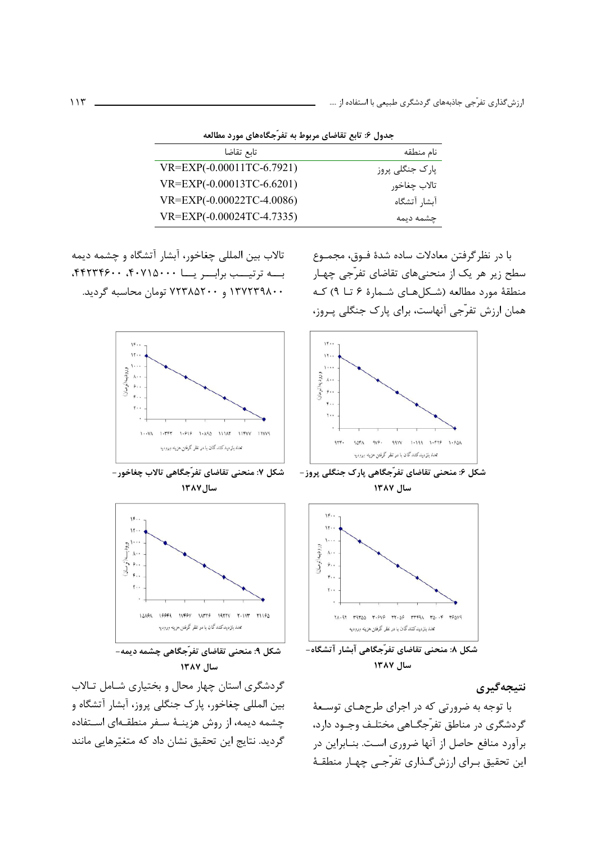جدول ۶: تابع تقاضای مربوط به تفرّجگاههای مورد مطالعه

| تابع تقاضا                | نام منطقه       |
|---------------------------|-----------------|
| VR=EXP(-0.00011TC-6.7921) | پارک جنگلی پروز |
| VR=EXP(-0.00013TC-6.6201) | تالاب چغاخور    |
| VR=EXP(-0.00022TC-4.0086) | آبشا, آتشگاه    |
| VR=EXP(-0.00024TC-4.7335) | چشمه دیمه       |

تالاب بين المللي چغاخور، آبشار آتشگاه و چشمه ديمه بسه ترتيب برابيريا ۴۰۷۱۵۰۰۰، ۴۴۲۳۴۶۰۰، ۱۳۷۲۳۹۸۰۰ و ۷۲۳۸۵۲۰۰ تومان محاسبه گردید.

با در نظرگرفتن معادلات ساده شدهٔ فـوق، مجمـوع سطح زیر هر یک از منحنیهای تقاضای تفرّجی چهـار منطقهٔ مورد مطالعه (شکلهای شمارهٔ ۶ تا ۹) ک همان ارزش تفرّجی آنهاست، برای پارک جنگلی پیروز،



نتىجەگىرى

با توجه به ضرورتی که در اجرای طرحهـای توسـعهٔ گردشگري در مناطق تفرّجگــاهي مختلـف وجــود دارد، برآورد منافع حاصل از آنها ضروری است. بنـابراین در این تحقیق بـرای ارزشگـذاری تفرّجـی چهـار منطقـهٔ

گردشگری استان چهار محال و بختیاری شامل تالاب بين المللي چغاخور، پارک جنگلي پروز، آبشار آتشگاه و چشمه دیمه، از روش هزینـهٔ سـفر منطقـهای اسـتفاده گردید. نتایج این تحقیق نشان داد که متغیّرهایی مانند

 $140.1$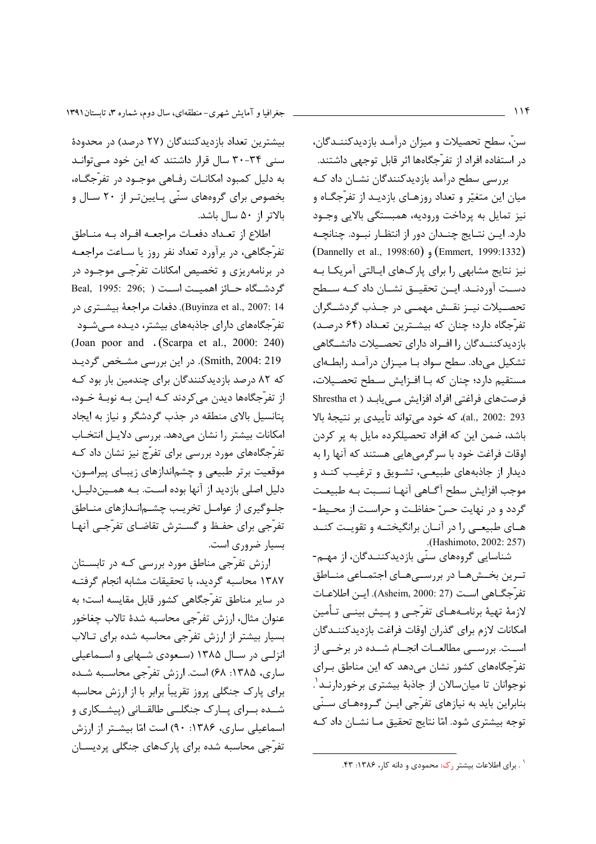بیشترین تعداد بازدیدکنندگان (۲۷ درصد) در محدودهٔ سنی ۳۴-۳۰ سال قرار داشتند که این خود مـی توانـد به دلیل کمبود امکانـات رفـاهی موجــود در تفرّجگــاه، بخصوص برای گروههای سنّی پـایینتر از ۲۰ سـال و بالاتر از ۵۰ سال باشد.

اطلاع از تعـداد دفعـات مراجعـه افـراد بـه منـاطق تفرّجگاهی، در برآورد تعداد نفر روز یا سـاعت مراجعـه در برنامهریزی و تخصیص امکانات تفرّجے موجــود در Beal, 1995: 296; ) است (, Beal, 1995: 296 Buyinza et al., 2007: 14). دفعات مراجعهٔ بیشــتری در تفرّجگاههای دارای جاذبههای بیشتر، دیـده مـی٬شـود (Joan poor and . (Scarpa et al., 2000: 240) Smith, 2004: 219). در این بررسی مشخص گردیـد که ۸۲ درصد بازدیدکنندگان برای چندمین بار بود کـه از تفرّجگاهها دیدن میکردند کـه ایـن بـه نوبـهٔ خـود، پتانسیل بالای منطقه در جذب گردشگر و نیاز به ایجاد امکانات بیشتر را نشان میدهد. بررسی دلایـل انتخـاب تفرّجگاههای مورد بررسی برای تفرّج نیز نشان داد کـه موقعیت بر تر طبیعی و چشماندازهای زیبـای پیرامـون، دلیل اصلی بازدید از آنها بوده است. بـه همـیندلیـل، جلـوگیری از عوامـل تخریـب چشـم|نـدازهای منـاطق تفرَّجي براي حفـظ و گســترش تقاضـاي تفرَّجــي آنهـا بسیار ضروری است.

ارزش تفرّجی مناطق مورد بررسی کـه در تابسـتان ١٣٨٧ محاسبه گرديد، با تحقيقات مشابه انجام گرفتـه در سایر مناطق تفرّجگاهی کشور قابل مقایسه است؛ به عنوان مثال، ارزش تفرّجي محاسبه شدهٔ تالاب چغاخور بسیار بیشتر از ارزش تفرّجی محاسبه شده برای تالاب انزلـی در سـال ۱۳۸۵ (سـعودی شـهابی و اسـماعیلی ساری، ۱۳۸۵: ۶۸) است. ارزش تفرّجی محاسـبه شـده برای پارک جنگلی پروز تقریباً برابر با از ارزش محاسبه شــده بــرای پــارک جنگلــی طالقــانی (پیشــکاری و اسماعیلی ساری، ۱۳۸۶: ۹۰) است امّا بیشتر از ارزش تفرّجی محاسبه شده برای پارکـهای جنگلی پردیسـان

سنّ، سطح تحصیلات و میزان درآمـد بازدیدکننـدگان، در استفاده افراد از تفرّجگاهها اثر قابل توجهی داشتند. بررسی سطح درآمد بازدیدکنندگان نشـان داد کـه ميان اين متغيّر و تعداد روزهـاي بازديـد از تفرّجگـاه و نيز تمايل به پرداخت وروديه، همبستگي بالايي وجـود دارد. ایـن نتـایج چنــدان دور از انتظــار نبــود. چنانچــه (Emmert, 1999:1332) و (Dannelly et al., 1998:60) نیز نتایج مشابهی را برای پارکهای ایـالتی آمریکـا بـه دسـت آوردنــد. ايــن تحقيــق نشــان داد كــه ســطح تحصــيلات نيــز نقــش مهمــي در جــذب گردشــگران تفرَّجگاه دارد؛ چنان که بیشـترین تعـداد (۶۴ درصـد) بازدیدکننـدگان را افـراد دارای تحصـیلات دانشـگاهی تشکیل میداد. سطح سواد بـا میـزان درآمـد رابطـهای مستقيم دارد؛ چنان كه بـا افـزايش سـطح تحصـيلات، فرصتهای فراغتی افراد افزایش مے یابد ( Shrestha et al., 2002: 293)، كه خود مي تواند تأييدي بر نتيجهٔ بالا باشد، ضمن این که افراد تحصیلکرده مایل به پر کردن اوقات فراغت خود با سرگرمیهایی هستند که آنها را به دیدار از جاذبههای طبیعے، تشـویق و ترغیـب کنـد و موجب افزایش سطح آگــاهی آنهــا نســبت بــه طبیعــت گردد و در نهایت حسّ حفاظت و حراست از محیط-هـای طبیعـی را در آنـان برانگیختـه و تقویـت کنـد .(Hashimoto, 2002: 257)

شناسایی گروههای سنّی بازدیدکننـدگان، از مهـم-تـرین بخـشهــا در بررســیهــای اجتمــاعی منــاطق تفرَّجِّــاهي اسـت (Asheim, 2000: 27). ايــن اطلاعــات لازمهٔ تهیهٔ برنامـههـای تفرّجـی و پـیش بینـی تـأمین امكانات لازم براي گذران اوقات فراغت بازديدكننـدگان اســت. بررســي مطالعــات انجــام شــده در برخــي از تفرّجگاههای کشور نشان می دهد که این مناطق بـرای نوجوانان تا میانسالان از جاذبهٔ بیشتری برخوردارنـد ٰ. بنابراین باید به نیازهای تفرّجی ایـن گـروههـای سـنّی توجه بیشتری شود. امّا نتایج تحقیق مـا نشـان داد کـه

<sup>٬ .</sup> برای اطلاعات بیشتر رک: محمودی و دانه کار، ۱۳۸۶: ۴۳.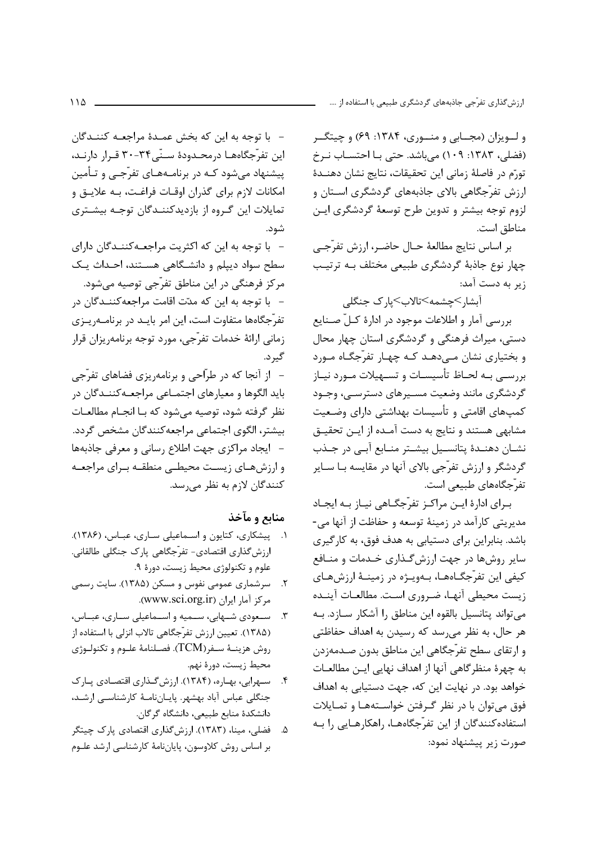و لویزان (مجـابی و منـوری، ۱۳۸۴: ۶۹) و چیتگـر (فضلی، ۱۳۸۳: ۱۰۹) میباشد. حتی بـا احتسـاب نـرخ تورّم در فاصلهٔ زمانی این تحقیقات، نتایج نشان دهنـدهٔ ارزش تفرّجگاهی بالای جاذبههای گردشگری اسـتان و لزوم توجه بيشتر و تدوين طرح توسعهٔ گردشگری اين مناطق است.

بر اساس نتايج مطالعة حـال حاضـر، ارزش تفرّجـى چهار نوع جاذبهٔ گردشگری طبیعی مختلف بـه ترتیب زیر به دست آمد:

آبشار كچشمهكتالابكيارك جنگلى

بررسی آمار و اطلاعات موجود در ادارهٔ کـلّ صـنایع دستی، میراث فرهنگی و گردشگری استان چهار محال و بختیاری نشان مے دھـد کـه چهـار تفرّجگـاه مـورد بررســی بــه لحــاظ تأسیســات و تســهیلات مــورد نیــاز گردشگری مانند وضعیت مسـیرهای دسترسـی، وجـود کمیهای اقامتی و تأسیسات بهداشتی دارای وضعیت مشابهی هستند و نتایج به دست آمـده از ایـن تحقیـق نشـان دهنـدهٔ پتانسـيل بيشـتر منـابع آبـى در جـذب گردشگر و ارزش تفرّجی بالای آنها در مقایسه بـا سـایر تفرّجگاههای طبیعی است.

برای ادارهٔ ایـن مراکـز تفرّجگـاهی نیـاز بـه ایجـاد مدیریتی کارآمد در زمینهٔ توسعه و حفاظت از آنها می-باشد. بنابراین برای دستیابی به هدف فوق، به کارگیری سایر روشها در جهت ارزش گذاری خـدمات و منـافع کیفی این تفرّجگـاههـا، بـهویـژه در زمینـهٔ ارزشهـای زيست محيطى آنهـا، ضـروري اسـت. مطالعـات آينـده می تواند پتانسیل بالقوه این مناطق را آشکار سـازد. بـه هر حال، به نظر می رسد که رسیدن به اهداف حفاظتی و ارتقای سطح تفرّجگاهی این مناطق بدون صـدمهزدن به چهرهٔ منظر گاهی آنها از اهداف نهایی ایـن مطالعـات خواهد بود. در نهایت این که، جهت دستیابی به اهداف فوق میتوان با در نظر گرفتن خواستهها و تمـايلات استفاده کنندگان از این تفرّجگاههـا، راهکارهـایی را بـه صورت زیر پیشنهاد نمود:

– با توجه به این که بخش عمـدهٔ مراجعـه کننــدگان این تفرّجگاههـا درمحـدودهٔ سـنّی۳۴-۳۰ قـرار دارنـد، پیشنهاد میشود کـه در برنامـههـای تفرّجـی و تـأمین امکانات لازم برای گذران اوقـات فراغـت، بـه علايـق و تمایلات این گـروه از بازدیدکننـدگان توجـه بیشـتری شود.

– با توجه به این که اکثریت مراجعـهکننـدگان دارای سطح سواد دیپلم و دانشگاهی هستند، احداث یک مرکز فرهنگی در این مناطق تفرّجی توصیه می شود. – با توجه به این که مدّت اقامت مراجعهکننــدگان در تفرّجگاهها متفاوت است، این امر بایـد در برنامــهریــزی زمانی ارائهٔ خدمات تفرّجی، مورد توجه برنامهریزان قرار گېر د.

- از آنجا که در طرّاحی و برنامهریزی فضاهای تفرّجی باید الگوها و معیارهای اجتمـاعی مراجعـهکننـدگان در نظر گرفته شود، توصیه می شود که بـا انجـام مطالعـات بيشتر، الگوي اجتماعي مراجعه كنندگان مشخص گردد. - ايجاد مراكزي جهت اطلاع رساني و معرفي جاذبهها و ارزشهبای زیست محیطبی منطقبه بیرای مراجعیه كنندگان لازم به نظر می رسد.

### منابع و مآخذ

- ١. پیشکاری، کتایون و اسـماعیلی سـاری، عبـاس، (١٣٨۶). ارزش گذاری اقتصادی- تفرّجگاهی پارک جنگلی طالقانی. علوم و تكنولوژي محيط زيست، دورهٔ ۹.
- ۲. سرشماری عمومی نفوس و مسکن (۱۳۸۵). سایت رسمی مركز آمار ايران (www.sci.org.ir).
- سعودی شـهابی، سـمیه و اسـماعیلی سـاری، عبـاس،  $\cdot$ (۱۳۸۵). تعیین ارزش تفرّجگاهی تالاب انزلی با استفاده از روش هزينــهٔ ســفر(TCM). فصــلنامهٔ علــوم و تكنولــوژي محيط زيست، دورهٔ نهم.
- ۴. سهرابي، بهـاره، (۱۳۸۴). ارزش گـذاري اقتصـادي پـارک جنگلی عباس آباد بهشهر. پایاننامهٔ کارشناسی ارشد، دانشكدهٔ منابع طبیعی، دانشگاه گرگان.
- ۵. فضلی، مینا، (۱۳۸۳). ارزش گذاری اقتصادی پارک چیتگر بر اساس روش كلاوسون، پاياننامهٔ كارشناسي ارشد علـوم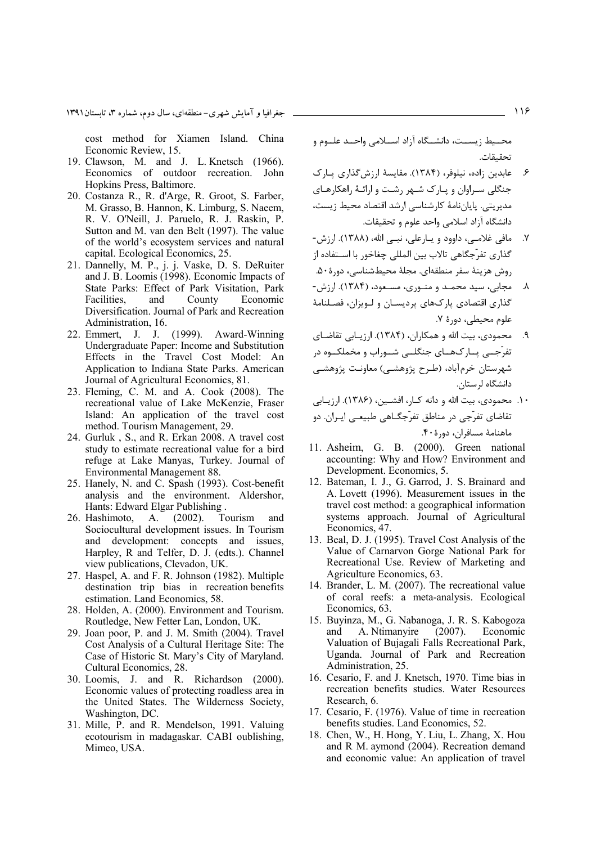و آمایش شهری–منطقهای، سال دوم، شماره ۳، تابستان۱۳۹۱ 116

cost method for Xiamen Island. China Economic Review, 15.

- 19. Clawson, M. and J. L. Knetsch (1966). Economics of outdoor recreation. John Hopkins Press, Baltimore.
- 20. Costanza R., R. d'Arge, R. Groot, S. Farber, M. Grasso, B. Hannon, K. Limburg, S. Naeem, R. V. O'Neill, J. Paruelo, R. J. Raskin, P. Sutton and M. van den Belt (1997). The value of the world's ecosystem services and natural capital. Ecological Economics, 25.
- 21. Dannelly, M. P., j. j. Vaske, D. S. DeRuiter and J. B. Loomis (1998). Economic Impacts of State Parks: Effect of Park Visitation, Park Facilities, and County Economic Diversification. Journal of Park and Recreation Administration, 16.
- 22. Emmert, J. J. (1999). Award-Winning Undergraduate Paper: Income and Substitution Effects in the Travel Cost Model: An Application to Indiana State Parks. American Journal of Agricultural Economics, 81.
- 23. Fleming, C. M. and A. Cook (2008). The recreational value of Lake McKenzie, Fraser Island: An application of the travel cost method. Tourism Management, 29.
- 24. Gurluk , S., and R. Erkan 2008. A travel cost study to estimate recreational value for a bird refuge at Lake Manyas, Turkey. Journal of Environmental Management 88.
- 25. Hanely, N. and C. Spash (1993). Cost-benefit analysis and the environment. Aldershor, Hants: Edward Elgar Publishing .
- 26. Hashimoto, A. (2002). Tourism and Sociocultural development issues. In Tourism and development: concepts and issues, Harpley, R and Telfer, D. J. (edts.). Channel view publications, Clevadon, UK.
- 27. Haspel, A. and F. R. Johnson (1982). Multiple destination trip bias in recreation benefits estimation. Land Economics, 58.
- 28. Holden, A. (2000). Environment and Tourism. Routledge, New Fetter Lan, London, UK.
- 29. Joan poor, P. and J. M. Smith (2004). Travel Cost Analysis of a Cultural Heritage Site: The Case of Historic St. Mary's City of Maryland. Cultural Economics, 28.
- 30. Loomis, J. and R. Richardson (2000). Economic values of protecting roadless area in the United States. The Wilderness Society, Washington, DC.
- 31. Mille, P. and R. Mendelson, 1991. Valuing ecotourism in madagaskar. CABI oublishing, Mimeo, USA.

محـــط ; يســت، دانشــگاه آزاد اســلامى واحــد علــوم و تحقىقات.

- ۶. عابدین زاده، نیلوفر، (۱۳۸۴). مقایسهٔ ارزشگذاری پــارک جنگلی سـراوان و پــارک شــهر رشــت و ارائــهٔ راهکارهــای مدیریتی. پایاننامهٔ کارشناسی ارشد اقتصاد محیط زیست، دانشگاه آزاد اسلامی واحد علوم و تحقیقات.
- ۷. مافی غلامـی، داوود و یــارعلی، نبــی الله، (۱۳۸۸). ارزش-گذاری تفرّجگاهی تالاب بین المللی چغاخور با اســتفاده از روش هزينهٔ سفر منطقهاى. مجلهٔ محيطشناسى، دورهٔ ۵۰.
- ۸. مجابی، سید محمـد و منـوری، مسـعود، (۱۳۸۴). ارزش-گذاری اقتصادی پارکهای پردیسـان و لـویزان، فصـلنامهٔ علوم محيطي، دورة ٧.
- ۹. محمودي، بيت الله و همكاران، (۱۳۸۴). ارزيـابي تقاضـاي تفرّجــی پــارک&ــای جنگلــی شــوراب و مخملکــوه در شهرستان خرم آباد، (طـرح پژوهشـی) معاونـت پژوهشـی دانشگاه لرستان.
- ۱۰. محمودی، بیت الله و دانه کـار، افشــین، (۱۳۸۶). ارزیـابی تقاضای تفرجی در مناطق تفرجگــاهی طبیعــی ایــران. دو ماهنامهٔ مسافران، دورهٔ ۴۰.
- 11. Asheim, G. B. (2000). Green national accounting: Why and How? Environment and Development. Economics, 5.
- 12. Bateman, I. J., G. Garrod, J. S. Brainard and A. Lovett (1996). Measurement issues in the travel cost method: a geographical information systems approach. Journal of Agricultural Economics, 47.
- 13. Beal, D. J. (1995). Travel Cost Analysis of the Value of Carnarvon Gorge National Park for Recreational Use. Review of Marketing and Agriculture Economics, 63.
- 14. Brander, L. M. (2007). The recreational value of coral reefs: a meta-analysis. Ecological Economics, 63.
- 15. Buyinza, M., G. Nabanoga, J. R. S. Kabogoza and A. Ntimanyire (2007). Economic Valuation of Bujagali Falls Recreational Park, Uganda. Journal of Park and Recreation Administration, 25.
- 16. Cesario, F. and J. Knetsch, 1970. Time bias in recreation benefits studies. Water Resources Research, 6.
- 17. Cesario, F. (1976). Value of time in recreation benefits studies. Land Economics, 52.
- 18. Chen, W., H. Hong, Y. Liu, L. Zhang, X. Hou and R M. aymond (2004). Recreation demand and economic value: An application of travel